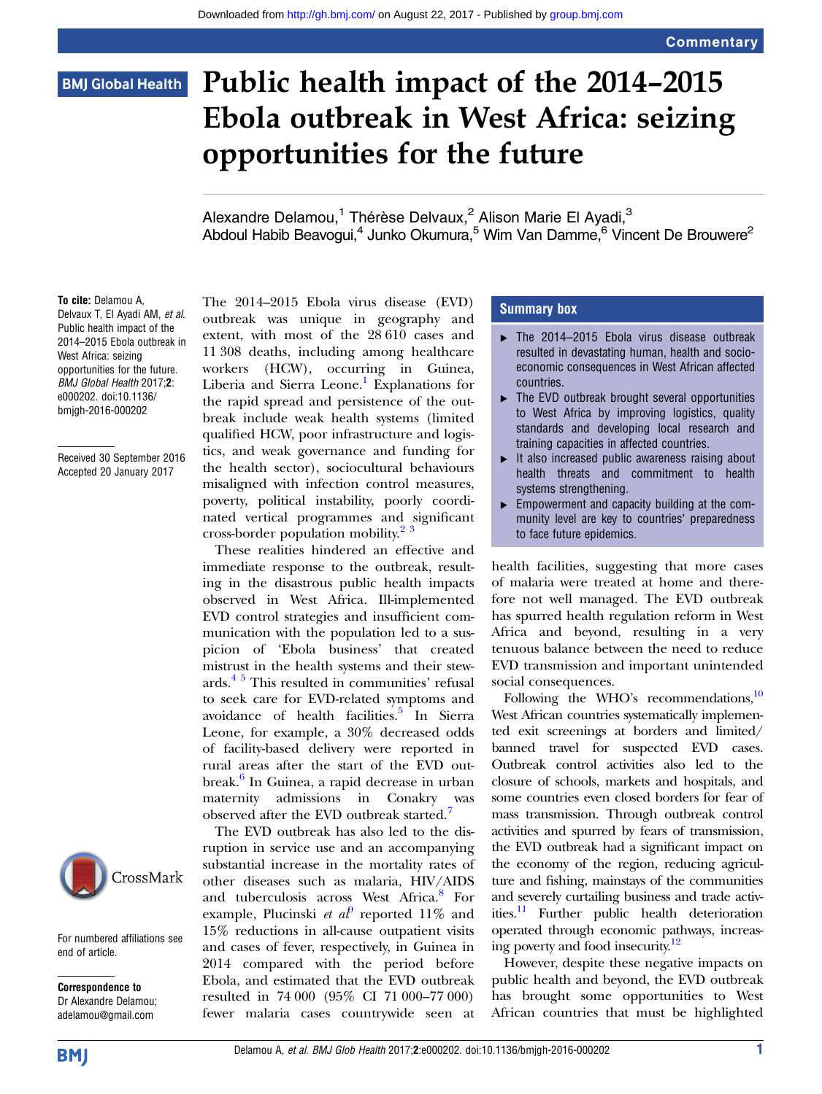# **BMJ Global Health**

# Public health impact of the 2014–2015<br>Ebola outbreak in West Africa: seizing Ebola on<br>Connortunities for the future opportunities for the future

Alexandre Delamou,<sup>1</sup> Thérèse Delvaux,<sup>2</sup> Alison Marie El Ayadi,<sup>3</sup> Abdoul Habib Beavogui,<sup>4</sup> Junko Okumura,<sup>5</sup> Wim Van Damme,<sup>6</sup> Vincent De Brouwere<sup>2</sup>

### To cite: Delamou A,

Delvaux T, El Ayadi AM, et al. Public health impact of the 2014–2015 Ebola outbreak in West Africa: seizing opportunities for the future. BMJ Global Health 2017;2: e000202. doi:10.1136/ bmjgh-2016-000202

Received 30 September 2016 Accepted 20 January 2017



For numbered affiliations see end of article.

Correspondence to Dr Alexandre Delamou; adelamou@gmail.com

The 2014–2015 Ebola virus disease (EVD) outbreak was unique in geography and extent, with most of the 28 610 cases and 11 308 deaths, including among healthcare workers (HCW), occurring in Guinea, Liberia and Sierra Leone.<sup>[1](#page-1-0)</sup> Explanations for the rapid spread and persistence of the outbreak include weak health systems (limited qualified HCW, poor infrastructure and logistics, and weak governance and funding for the health sector), sociocultural behaviours misaligned with infection control measures, poverty, political instability, poorly coordinated vertical programmes and significant cross-border population mobility. $2^3$ 

These realities hindered an effective and immediate response to the outbreak, resulting in the disastrous public health impacts observed in West Africa. Ill-implemented EVD control strategies and insufficient communication with the population led to a suspicion of 'Ebola business' that created mistrust in the health systems and their stewards.[4 5](#page-1-0) This resulted in communities' refusal to seek care for EVD-related symptoms and avoidance of health facilities.<sup>[5](#page-1-0)</sup> In Sierra Leone, for example, a 30% decreased odds of facility-based delivery were reported in rural areas after the start of the EVD out-break.<sup>[6](#page-2-0)</sup> In Guinea, a rapid decrease in urban maternity admissions in Conakry was observed after the EVD outbreak started.<sup>[7](#page-2-0)</sup>

The EVD outbreak has also led to the disruption in service use and an accompanying substantial increase in the mortality rates of other diseases such as malaria, HIV/AIDS and tuberculosis across West Africa.<sup>[8](#page-2-0)</sup> For example, Plucinski *et al* reported 11% and 15% reductions in all-cause outpatient visits and cases of fever, respectively, in Guinea in 2014 compared with the period before Ebola, and estimated that the EVD outbreak resulted in 74 000 (95% CI 71 000–77 000) fewer malaria cases countrywide seen at

## Summary box

- ▸ The 2014–2015 Ebola virus disease outbreak resulted in devastating human, health and socioeconomic consequences in West African affected countries.
- $\blacktriangleright$  The EVD outbreak brought several opportunities to West Africa by improving logistics, quality standards and developing local research and training capacities in affected countries.
- ▸ It also increased public awareness raising about health threats and commitment to health systems strengthening.
- ▸ Empowerment and capacity building at the community level are key to countries' preparedness to face future epidemics.

health facilities, suggesting that more cases of malaria were treated at home and therefore not well managed. The EVD outbreak has spurred health regulation reform in West Africa and beyond, resulting in a very tenuous balance between the need to reduce EVD transmission and important unintended social consequences.

Following the WHO's recommendations,<sup>10</sup> West African countries systematically implemented exit screenings at borders and limited/ banned travel for suspected EVD cases. Outbreak control activities also led to the closure of schools, markets and hospitals, and some countries even closed borders for fear of mass transmission. Through outbreak control activities and spurred by fears of transmission, the EVD outbreak had a significant impact on the economy of the region, reducing agriculture and fishing, mainstays of the communities and severely curtailing business and trade activities.<sup>11</sup> Further public health deterioration operated through economic pathways, increasing poverty and food insecurity[.12](#page-2-0)

However, despite these negative impacts on public health and beyond, the EVD outbreak has brought some opportunities to West African countries that must be highlighted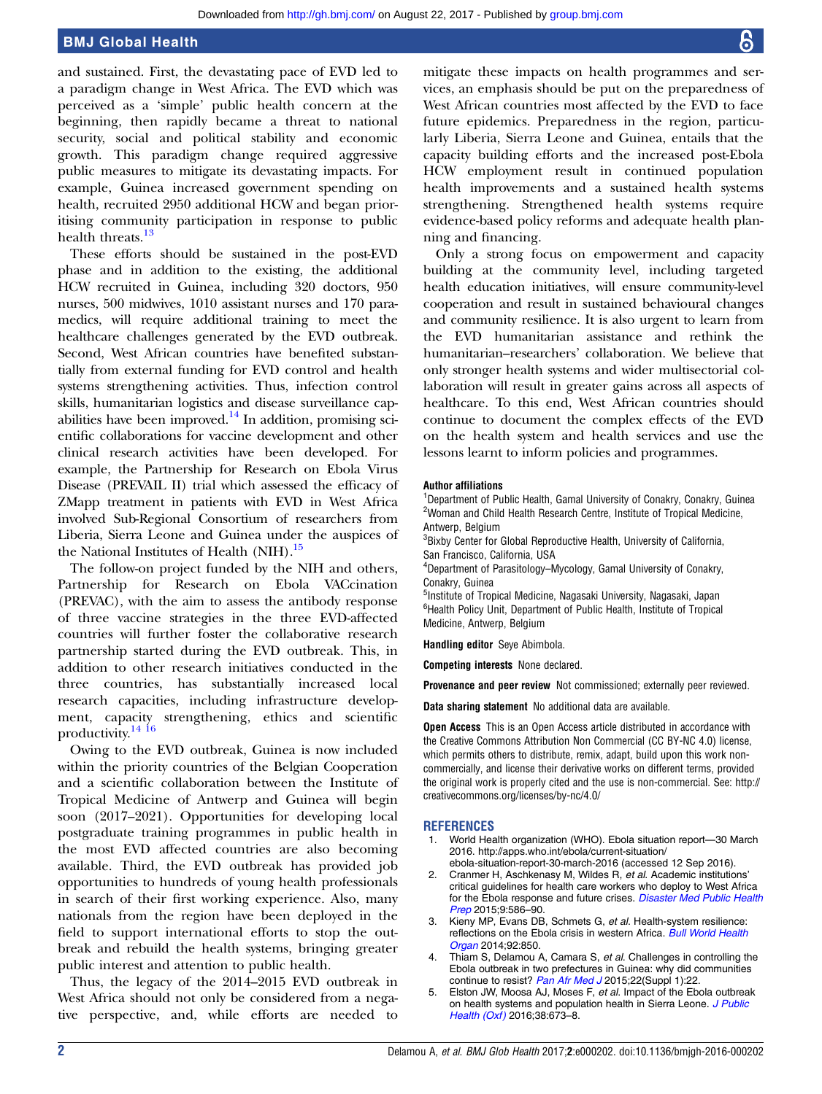# <span id="page-1-0"></span>BMJ Global Health

and sustained. First, the devastating pace of EVD led to a paradigm change in West Africa. The EVD which was perceived as a 'simple' public health concern at the beginning, then rapidly became a threat to national security, social and political stability and economic growth. This paradigm change required aggressive public measures to mitigate its devastating impacts. For example, Guinea increased government spending on health, recruited 2950 additional HCW and began prioritising community participation in response to public health threats.<sup>[13](#page-2-0)</sup>

These efforts should be sustained in the post-EVD phase and in addition to the existing, the additional HCW recruited in Guinea, including 320 doctors, 950 nurses, 500 midwives, 1010 assistant nurses and 170 paramedics, will require additional training to meet the healthcare challenges generated by the EVD outbreak. Second, West African countries have benefited substantially from external funding for EVD control and health systems strengthening activities. Thus, infection control skills, humanitarian logistics and disease surveillance cap-abilities have been improved.<sup>[14](#page-2-0)</sup> In addition, promising scientific collaborations for vaccine development and other clinical research activities have been developed. For example, the Partnership for Research on Ebola Virus Disease (PREVAIL II) trial which assessed the efficacy of ZMapp treatment in patients with EVD in West Africa involved Sub-Regional Consortium of researchers from Liberia, Sierra Leone and Guinea under the auspices of the National Institutes of Health (NIH).<sup>15</sup>

The follow-on project funded by the NIH and others, Partnership for Research on Ebola VACcination (PREVAC), with the aim to assess the antibody response of three vaccine strategies in the three EVD-affected countries will further foster the collaborative research partnership started during the EVD outbreak. This, in addition to other research initiatives conducted in the three countries, has substantially increased local research capacities, including infrastructure development, capacity strengthening, ethics and scientific productivity.<sup>[14 16](#page-2-0)</sup>

Owing to the EVD outbreak, Guinea is now included within the priority countries of the Belgian Cooperation and a scientific collaboration between the Institute of Tropical Medicine of Antwerp and Guinea will begin soon (2017–2021). Opportunities for developing local postgraduate training programmes in public health in the most EVD affected countries are also becoming available. Third, the EVD outbreak has provided job opportunities to hundreds of young health professionals in search of their first working experience. Also, many nationals from the region have been deployed in the field to support international efforts to stop the outbreak and rebuild the health systems, bringing greater public interest and attention to public health.

Thus, the legacy of the 2014–2015 EVD outbreak in West Africa should not only be considered from a negative perspective, and, while efforts are needed to

mitigate these impacts on health programmes and services, an emphasis should be put on the preparedness of West African countries most affected by the EVD to face future epidemics. Preparedness in the region, particularly Liberia, Sierra Leone and Guinea, entails that the capacity building efforts and the increased post-Ebola HCW employment result in continued population health improvements and a sustained health systems strengthening. Strengthened health systems require evidence-based policy reforms and adequate health planning and financing.

Only a strong focus on empowerment and capacity building at the community level, including targeted health education initiatives, will ensure community-level cooperation and result in sustained behavioural changes and community resilience. It is also urgent to learn from the EVD humanitarian assistance and rethink the humanitarian–researchers' collaboration. We believe that only stronger health systems and wider multisectorial collaboration will result in greater gains across all aspects of healthcare. To this end, West African countries should continue to document the complex effects of the EVD on the health system and health services and use the lessons learnt to inform policies and programmes.

#### Author affiliations

<sup>1</sup>Department of Public Health, Gamal University of Conakry, Conakry, Guinea <sup>2</sup>Woman and Child Health Research Centre, Institute of Tropical Medicine, Antwerp, Belgium

<sup>3</sup> Bixby Center for Global Reproductive Health, University of California, San Francisco, California, USA

4 Department of Parasitology–Mycology, Gamal University of Conakry, Conakry, Guinea

5 Institute of Tropical Medicine, Nagasaki University, Nagasaki, Japan <sup>6</sup>Health Policy Unit, Department of Public Health, Institute of Tropical Medicine, Antwerp, Belgium

Handling editor Seye Abimbola.

Competing interests None declared.

Provenance and peer review Not commissioned; externally peer reviewed.

Data sharing statement No additional data are available.

**Open Access** This is an Open Access article distributed in accordance with the Creative Commons Attribution Non Commercial (CC BY-NC 4.0) license, which permits others to distribute, remix, adapt, build upon this work noncommercially, and license their derivative works on different terms, provided the original work is properly cited and the use is non-commercial. See: [http://](http://creativecommons.org/licenses/by-nc/4.0/) [creativecommons.org/licenses/by-nc/4.0/](http://creativecommons.org/licenses/by-nc/4.0/)

#### **REFERENCES**

- 1. World Health organization (WHO). Ebola situation report—30 March 2016. [http://apps.who.int/ebola/current-situation/](http://apps.who.int/ebola/current-situation/ebola-situation-report-30-march-2016) [ebola-situation-report-30-march-2016](http://apps.who.int/ebola/current-situation/ebola-situation-report-30-march-2016) (accessed 12 Sep 2016).
- 2. Cranmer H, Aschkenasy M, Wildes R, et al. Academic institutions' critical guidelines for health care workers who deploy to West Africa for the Ebola response and future crises. [Disaster Med Public Health](http://dx.doi.org/10.1017/dmp.2015.79) [Prep](http://dx.doi.org/10.1017/dmp.2015.79) 2015;9:586-90.
- 3. Kieny MP, Evans DB, Schmets G, et al. Health-system resilience: reflections on the Ebola crisis in western Africa. [Bull World Health](http://dx.doi.org/10.2471/BLT.14.149278) [Organ](http://dx.doi.org/10.2471/BLT.14.149278) 2014;92:850.
- 4. Thiam S, Delamou A, Camara S, et al. Challenges in controlling the Ebola outbreak in two prefectures in Guinea: why did communities continue to resist? [Pan Afr Med J](http://dx.doi.org/10.11694/pamj.supp.2015.22.1.6626) 2015;22(Suppl 1):22.
- 5. Elston JW, Moosa AJ, Moses F, et al. Impact of the Ebola outbreak on health systems and population health in Sierra Leone. [J Public](http://dx.doi.org/10.1093/pubmed/fdv158) Health (Oxf) 2016;38:673-8.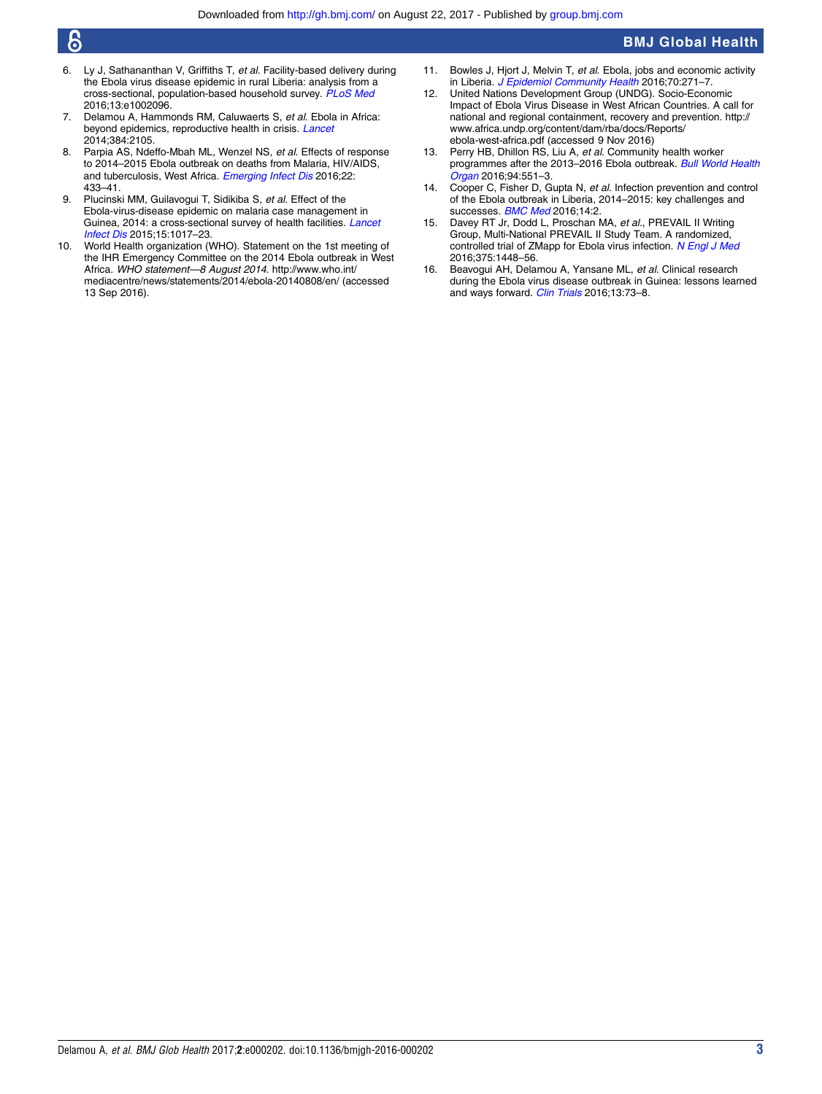# BMJ Global Health

6. Ly J, Sathananthan V, Griffiths T, et al. Facility-based delivery during the Ebola virus disease epidemic in rural Liberia: analysis from a cross-sectional, population-based household survey. [PLoS Med](http://dx.doi.org/10.1371/journal.pmed.1002096) 2016;13:e1002096.

<span id="page-2-0"></span>8

- 7. Delamou A, Hammonds RM, Caluwaerts S, et al. Ebola in Africa: beyond epidemics, reproductive health in crisis. [Lancet](http://dx.doi.org/10.1016/S0140-6736(14)62364-3) 2014;384:2105.
- 8. Parpia AS, Ndeffo-Mbah ML, Wenzel NS, et al. Effects of response to 2014–2015 Ebola outbreak on deaths from Malaria, HIV/AIDS, and tuberculosis, West Africa. [Emerging Infect Dis](http://dx.doi.org/10.3201/eid2203.150977) 2016;22: 433–41.
- 9. Plucinski MM, Guilavogui T, Sidikiba S, et al. Effect of the Ebola-virus-disease epidemic on malaria case management in Guinea, 2014: a cross-sectional survey of health facilities. *[Lancet](http://dx.doi.org/10.1016/S1473-3099(15)00061-4)* [Infect Dis](http://dx.doi.org/10.1016/S1473-3099(15)00061-4) 2015;15:1017–23.
- 10. World Health organization (WHO). Statement on the 1st meeting of the IHR Emergency Committee on the 2014 Ebola outbreak in West Africa. WHO statement—8 August 2014. [http://www.who.int/](http://www.who.int/mediacentre/news/statements/2014/ebola-20140808/en/) [mediacentre/news/statements/2014/ebola-20140808/en/](http://www.who.int/mediacentre/news/statements/2014/ebola-20140808/en/) (accessed 13 Sep 2016).
- 11. Bowles J, Hjort J, Melvin T, et al. Ebola, jobs and economic activity in Liberia. [J Epidemiol Community Health](http://dx.doi.org/10.1136/jech-2015-205959) 2016;70:271-7.
- 12. United Nations Development Group (UNDG). Socio-Economic Impact of Ebola Virus Disease in West African Countries. A call for national and regional containment, recovery and prevention. [http://](http://www.africa.undp.org/content/dam/rba/docs/Reports/ebola-west-africa.pdf) [www.africa.undp.org/content/dam/rba/docs/Reports/](http://www.africa.undp.org/content/dam/rba/docs/Reports/ebola-west-africa.pdf) [ebola-west-africa.pdf](http://www.africa.undp.org/content/dam/rba/docs/Reports/ebola-west-africa.pdf) (accessed 9 Nov 2016)
- 13. Perry HB, Dhillon RS, Liu A, et al. Community health worker programmes after the 2013–2016 Ebola outbreak. [Bull World Health](http://dx.doi.org/10.2471/BLT.15.164020) [Organ](http://dx.doi.org/10.2471/BLT.15.164020) 2016;94:551–3.
- 14. Cooper C, Fisher D, Gupta N, et al. Infection prevention and control of the Ebola outbreak in Liberia, 2014–2015: key challenges and successes. [BMC Med](http://dx.doi.org/10.1186/s12916-015-0548-4) 2016;14:2.
- 15. Davey RT Jr, Dodd L, Proschan MA, et al., PREVAIL II Writing Group, Multi-National PREVAIL II Study Team. A randomized, controlled trial of ZMapp for Ebola virus infection. [N Engl J Med](http://dx.doi.org/10.1056/NEJMoa1604330) 2016;375:1448–56.
- 16. Beavogui AH, Delamou A, Yansane ML, et al. Clinical research during the Ebola virus disease outbreak in Guinea: lessons learned and ways forward. [Clin Trials](http://dx.doi.org/10.1177/1740774515619877) 2016;13:73-8.